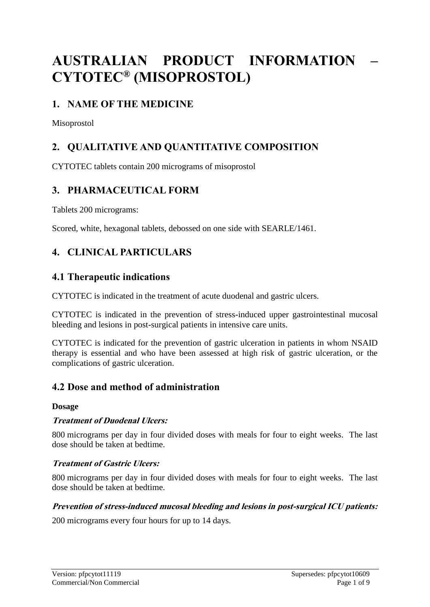# **AUSTRALIAN PRODUCT INFORMATION – CYTOTEC® (MISOPROSTOL)**

# **1. NAME OF THE MEDICINE**

Misoprostol

# **2. QUALITATIVE AND QUANTITATIVE COMPOSITION**

CYTOTEC tablets contain 200 micrograms of misoprostol

# **3. PHARMACEUTICAL FORM**

Tablets 200 micrograms:

Scored, white, hexagonal tablets, debossed on one side with SEARLE/1461.

# **4. CLINICAL PARTICULARS**

### **4.1 Therapeutic indications**

CYTOTEC is indicated in the treatment of acute duodenal and gastric ulcers.

CYTOTEC is indicated in the prevention of stress-induced upper gastrointestinal mucosal bleeding and lesions in post-surgical patients in intensive care units.

CYTOTEC is indicated for the prevention of gastric ulceration in patients in whom NSAID therapy is essential and who have been assessed at high risk of gastric ulceration, or the complications of gastric ulceration.

### **4.2 Dose and method of administration**

#### **Dosage**

#### **Treatment of Duodenal Ulcers:**

800 micrograms per day in four divided doses with meals for four to eight weeks. The last dose should be taken at bedtime.

#### **Treatment of Gastric Ulcers:**

800 micrograms per day in four divided doses with meals for four to eight weeks. The last dose should be taken at bedtime.

#### **Prevention of stress-induced mucosal bleeding and lesions in post-surgical ICU patients:**

200 micrograms every four hours for up to 14 days.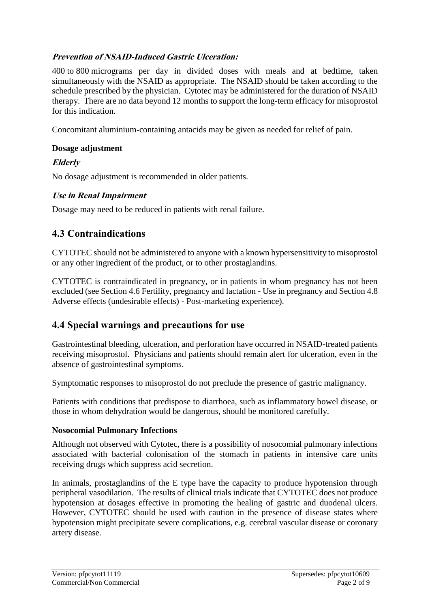### **Prevention of NSAID-Induced Gastric Ulceration:**

400 to 800 micrograms per day in divided doses with meals and at bedtime, taken simultaneously with the NSAID as appropriate. The NSAID should be taken according to the schedule prescribed by the physician. Cytotec may be administered for the duration of NSAID therapy. There are no data beyond 12 months to support the long-term efficacy for misoprostol for this indication.

Concomitant aluminium-containing antacids may be given as needed for relief of pain.

#### **Dosage adjustment**

#### **Elderly**

No dosage adjustment is recommended in older patients.

#### **Use in Renal Impairment**

Dosage may need to be reduced in patients with renal failure.

### **4.3 Contraindications**

CYTOTEC should not be administered to anyone with a known hypersensitivity to misoprostol or any other ingredient of the product, or to other prostaglandins.

CYTOTEC is contraindicated in pregnancy, or in patients in whom pregnancy has not been excluded (see Section 4.6 Fertility, pregnancy and lactation - Use in pregnancy and Section 4.8 Adverse effects (undesirable effects) - Post-marketing experience).

### **4.4 Special warnings and precautions for use**

Gastrointestinal bleeding, ulceration, and perforation have occurred in NSAID-treated patients receiving misoprostol. Physicians and patients should remain alert for ulceration, even in the absence of gastrointestinal symptoms.

Symptomatic responses to misoprostol do not preclude the presence of gastric malignancy.

Patients with conditions that predispose to diarrhoea, such as inflammatory bowel disease, or those in whom dehydration would be dangerous, should be monitored carefully.

#### **Nosocomial Pulmonary Infections**

Although not observed with Cytotec, there is a possibility of nosocomial pulmonary infections associated with bacterial colonisation of the stomach in patients in intensive care units receiving drugs which suppress acid secretion.

In animals, prostaglandins of the E type have the capacity to produce hypotension through peripheral vasodilation. The results of clinical trials indicate that CYTOTEC does not produce hypotension at dosages effective in promoting the healing of gastric and duodenal ulcers. However, CYTOTEC should be used with caution in the presence of disease states where hypotension might precipitate severe complications, e.g. cerebral vascular disease or coronary artery disease.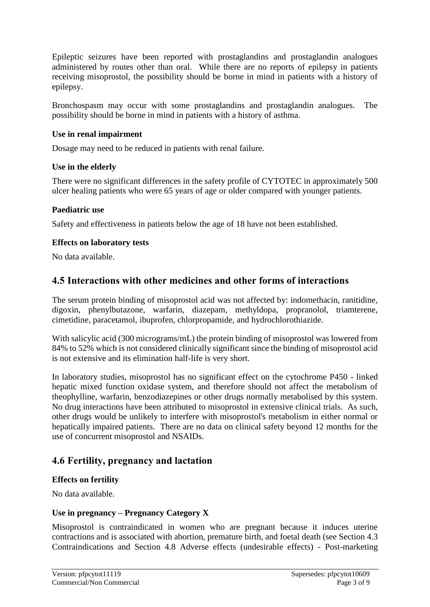Epileptic seizures have been reported with prostaglandins and prostaglandin analogues administered by routes other than oral. While there are no reports of epilepsy in patients receiving misoprostol, the possibility should be borne in mind in patients with a history of epilepsy.

Bronchospasm may occur with some prostaglandins and prostaglandin analogues. The possibility should be borne in mind in patients with a history of asthma.

#### **Use in renal impairment**

Dosage may need to be reduced in patients with renal failure.

#### **Use in the elderly**

There were no significant differences in the safety profile of CYTOTEC in approximately 500 ulcer healing patients who were 65 years of age or older compared with younger patients.

#### **Paediatric use**

Safety and effectiveness in patients below the age of 18 have not been established.

#### **Effects on laboratory tests**

No data available.

### **4.5 Interactions with other medicines and other forms of interactions**

The serum protein binding of misoprostol acid was not affected by: indomethacin, ranitidine, digoxin, phenylbutazone, warfarin, diazepam, methyldopa, propranolol, triamterene, cimetidine, paracetamol, ibuprofen, chlorpropamide, and hydrochlorothiazide.

With salicylic acid (300 micrograms/mL) the protein binding of misoprostol was lowered from 84% to 52% which is not considered clinically significant since the binding of misoprostol acid is not extensive and its elimination half-life is very short.

In laboratory studies, misoprostol has no significant effect on the cytochrome P450 - linked hepatic mixed function oxidase system, and therefore should not affect the metabolism of theophylline, warfarin, benzodiazepines or other drugs normally metabolised by this system. No drug interactions have been attributed to misoprostol in extensive clinical trials. As such, other drugs would be unlikely to interfere with misoprostol's metabolism in either normal or hepatically impaired patients. There are no data on clinical safety beyond 12 months for the use of concurrent misoprostol and NSAIDs.

### **4.6 Fertility, pregnancy and lactation**

#### **Effects on fertility**

No data available.

#### **Use in pregnancy – Pregnancy Category X**

Misoprostol is contraindicated in women who are pregnant because it induces uterine contractions and is associated with abortion, premature birth, and foetal death (see Section 4.3 Contraindications and Section 4.8 Adverse effects (undesirable effects) - Post-marketing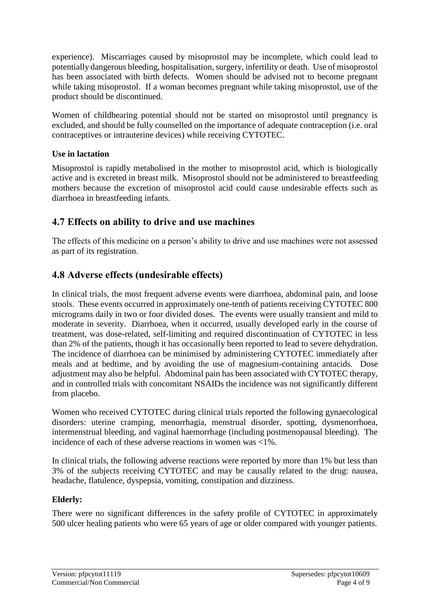experience). Miscarriages caused by misoprostol may be incomplete, which could lead to potentially dangerous bleeding, hospitalisation, surgery, infertility or death. Use of misoprostol has been associated with birth defects. Women should be advised not to become pregnant while taking misoprostol. If a woman becomes pregnant while taking misoprostol, use of the product should be discontinued.

Women of childbearing potential should not be started on misoprostol until pregnancy is excluded, and should be fully counselled on the importance of adequate contraception (i.e. oral contraceptives or intrauterine devices) while receiving CYTOTEC.

#### **Use in lactation**

Misoprostol is rapidly metabolised in the mother to misoprostol acid, which is biologically active and is excreted in breast milk. Misoprostol should not be administered to breastfeeding mothers because the excretion of misoprostol acid could cause undesirable effects such as diarrhoea in breastfeeding infants.

# **4.7 Effects on ability to drive and use machines**

The effects of this medicine on a person's ability to drive and use machines were not assessed as part of its registration.

# **4.8 Adverse effects (undesirable effects)**

In clinical trials, the most frequent adverse events were diarrhoea, abdominal pain, and loose stools. These events occurred in approximately one-tenth of patients receiving CYTOTEC 800 micrograms daily in two or four divided doses. The events were usually transient and mild to moderate in severity. Diarrhoea, when it occurred, usually developed early in the course of treatment, was dose-related, self-limiting and required discontinuation of CYTOTEC in less than 2% of the patients, though it has occasionally been reported to lead to severe dehydration. The incidence of diarrhoea can be minimised by administering CYTOTEC immediately after meals and at bedtime, and by avoiding the use of magnesium-containing antacids. Dose adjustment may also be helpful. Abdominal pain has been associated with CYTOTEC therapy, and in controlled trials with concomitant NSAIDs the incidence was not significantly different from placebo.

Women who received CYTOTEC during clinical trials reported the following gynaecological disorders: uterine cramping, menorrhagia, menstrual disorder, spotting, dysmenorrhoea, intermenstrual bleeding, and vaginal haemorrhage (including postmenopausal bleeding). The incidence of each of these adverse reactions in women was <1%.

In clinical trials, the following adverse reactions were reported by more than 1% but less than 3% of the subjects receiving CYTOTEC and may be causally related to the drug: nausea, headache, flatulence, dyspepsia, vomiting, constipation and dizziness.

### **Elderly:**

There were no significant differences in the safety profile of CYTOTEC in approximately 500 ulcer healing patients who were 65 years of age or older compared with younger patients.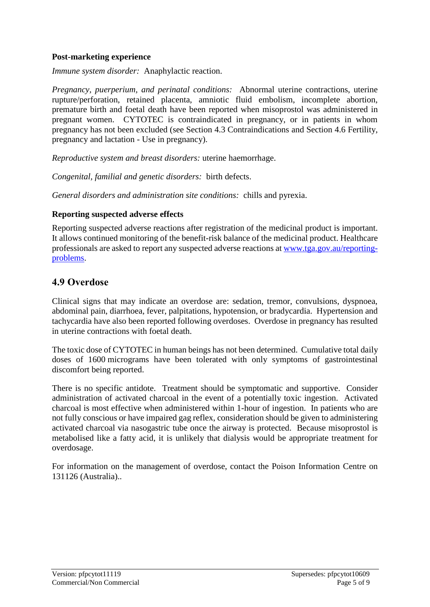#### **Post-marketing experience**

*Immune system disorder:* Anaphylactic reaction.

*Pregnancy, puerperium, and perinatal conditions:* Abnormal uterine contractions, uterine rupture/perforation, retained placenta, amniotic fluid embolism, incomplete abortion, premature birth and foetal death have been reported when misoprostol was administered in pregnant women. CYTOTEC is contraindicated in pregnancy, or in patients in whom pregnancy has not been excluded (see Section 4.3 Contraindications and Section 4.6 Fertility, pregnancy and lactation - Use in pregnancy).

*Reproductive system and breast disorders:* uterine haemorrhage.

*Congenital, familial and genetic disorders:* birth defects.

*General disorders and administration site conditions:* chills and pyrexia.

#### **Reporting suspected adverse effects**

Reporting suspected adverse reactions after registration of the medicinal product is important. It allows continued monitoring of the benefit-risk balance of the medicinal product. Healthcare professionals are asked to report any suspected adverse reactions at [www.tga.gov.au/reporting](http://www.tga.gov.au/reporting-problems)[problems.](http://www.tga.gov.au/reporting-problems)

### **4.9 Overdose**

Clinical signs that may indicate an overdose are: sedation, tremor, convulsions, dyspnoea, abdominal pain, diarrhoea, fever, palpitations, hypotension, or bradycardia. Hypertension and tachycardia have also been reported following overdoses. Overdose in pregnancy has resulted in uterine contractions with foetal death.

The toxic dose of CYTOTEC in human beings has not been determined. Cumulative total daily doses of 1600 micrograms have been tolerated with only symptoms of gastrointestinal discomfort being reported.

There is no specific antidote. Treatment should be symptomatic and supportive. Consider administration of activated charcoal in the event of a potentially toxic ingestion. Activated charcoal is most effective when administered within 1-hour of ingestion. In patients who are not fully conscious or have impaired gag reflex, consideration should be given to administering activated charcoal via nasogastric tube once the airway is protected. Because misoprostol is metabolised like a fatty acid, it is unlikely that dialysis would be appropriate treatment for overdosage.

For information on the management of overdose, contact the Poison Information Centre on 131126 (Australia)..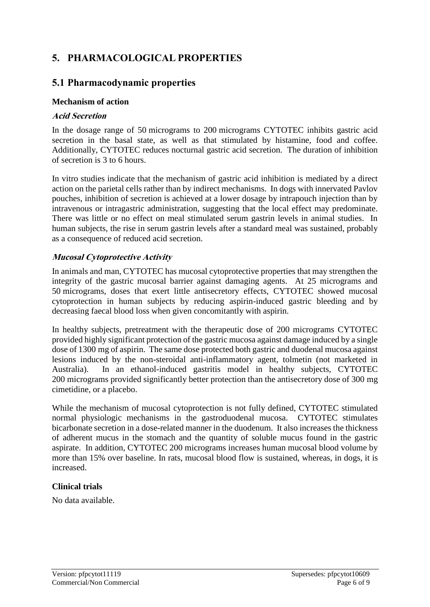# **5. PHARMACOLOGICAL PROPERTIES**

### **5.1 Pharmacodynamic properties**

#### **Mechanism of action**

#### **Acid Secretion**

In the dosage range of 50 micrograms to 200 micrograms CYTOTEC inhibits gastric acid secretion in the basal state, as well as that stimulated by histamine, food and coffee. Additionally, CYTOTEC reduces nocturnal gastric acid secretion. The duration of inhibition of secretion is 3 to 6 hours.

In vitro studies indicate that the mechanism of gastric acid inhibition is mediated by a direct action on the parietal cells rather than by indirect mechanisms. In dogs with innervated Pavlov pouches, inhibition of secretion is achieved at a lower dosage by intrapouch injection than by intravenous or intragastric administration, suggesting that the local effect may predominate. There was little or no effect on meal stimulated serum gastrin levels in animal studies. In human subjects, the rise in serum gastrin levels after a standard meal was sustained, probably as a consequence of reduced acid secretion.

#### **Mucosal Cytoprotective Activity**

In animals and man, CYTOTEC has mucosal cytoprotective properties that may strengthen the integrity of the gastric mucosal barrier against damaging agents. At 25 micrograms and 50 micrograms, doses that exert little antisecretory effects, CYTOTEC showed mucosal cytoprotection in human subjects by reducing aspirin-induced gastric bleeding and by decreasing faecal blood loss when given concomitantly with aspirin.

In healthy subjects, pretreatment with the therapeutic dose of 200 micrograms CYTOTEC provided highly significant protection of the gastric mucosa against damage induced by a single dose of 1300 mg of aspirin. The same dose protected both gastric and duodenal mucosa against lesions induced by the non-steroidal anti-inflammatory agent, tolmetin (not marketed in Australia). In an ethanol-induced gastritis model in healthy subjects, CYTOTEC 200 micrograms provided significantly better protection than the antisecretory dose of 300 mg cimetidine, or a placebo.

While the mechanism of mucosal cytoprotection is not fully defined, CYTOTEC stimulated normal physiologic mechanisms in the gastroduodenal mucosa. CYTOTEC stimulates bicarbonate secretion in a dose-related manner in the duodenum. It also increases the thickness of adherent mucus in the stomach and the quantity of soluble mucus found in the gastric aspirate. In addition, CYTOTEC 200 micrograms increases human mucosal blood volume by more than 15% over baseline. In rats, mucosal blood flow is sustained, whereas, in dogs, it is increased.

#### **Clinical trials**

No data available.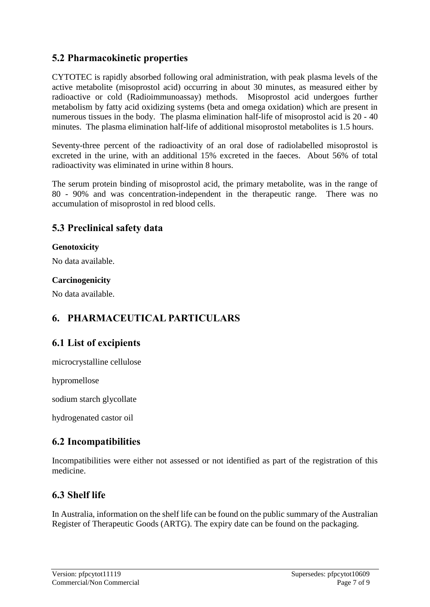### **5.2 Pharmacokinetic properties**

CYTOTEC is rapidly absorbed following oral administration, with peak plasma levels of the active metabolite (misoprostol acid) occurring in about 30 minutes, as measured either by radioactive or cold (Radioimmunoassay) methods. Misoprostol acid undergoes further metabolism by fatty acid oxidizing systems (beta and omega oxidation) which are present in numerous tissues in the body. The plasma elimination half-life of misoprostol acid is 20 - 40 minutes. The plasma elimination half-life of additional misoprostol metabolites is 1.5 hours.

Seventy-three percent of the radioactivity of an oral dose of radiolabelled misoprostol is excreted in the urine, with an additional 15% excreted in the faeces. About 56% of total radioactivity was eliminated in urine within 8 hours.

The serum protein binding of misoprostol acid, the primary metabolite, was in the range of 80 - 90% and was concentration-independent in the therapeutic range. There was no accumulation of misoprostol in red blood cells.

### **5.3 Preclinical safety data**

#### **Genotoxicity**

No data available.

#### **Carcinogenicity**

No data available.

# **6. PHARMACEUTICAL PARTICULARS**

### **6.1 List of excipients**

microcrystalline cellulose

hypromellose

sodium starch glycollate

hydrogenated castor oil

### **6.2 Incompatibilities**

Incompatibilities were either not assessed or not identified as part of the registration of this medicine.

### **6.3 Shelf life**

In Australia, information on the shelf life can be found on the public summary of the Australian Register of Therapeutic Goods (ARTG). The expiry date can be found on the packaging.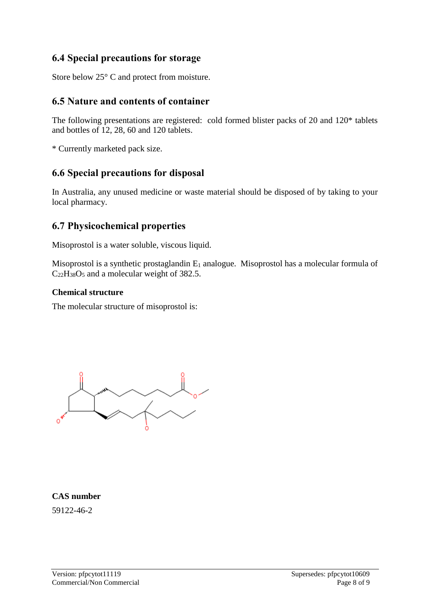# **6.4 Special precautions for storage**

Store below 25° C and protect from moisture.

### **6.5 Nature and contents of container**

The following presentations are registered: cold formed blister packs of 20 and 120\* tablets and bottles of 12, 28, 60 and 120 tablets.

\* Currently marketed pack size.

### **6.6 Special precautions for disposal**

In Australia, any unused medicine or waste material should be disposed of by taking to your local pharmacy.

### **6.7 Physicochemical properties**

Misoprostol is a water soluble, viscous liquid.

Misoprostol is a synthetic prostaglandin  $E_1$  analogue. Misoprostol has a molecular formula of  $C_{22}H_{38}O_5$  and a molecular weight of 382.5.

#### **Chemical structure**

The molecular structure of misoprostol is:



**CAS number** 59122-46-2